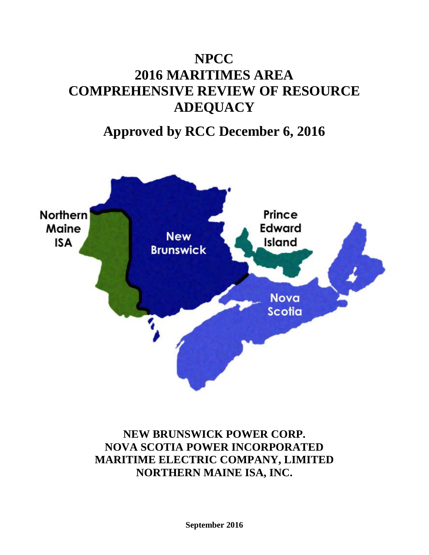# **NPCC 2016 MARITIMES AREA COMPREHENSIVE REVIEW OF RESOURCE ADEQUACY**

# **Approved by RCC December 6, 2016**



# **NEW BRUNSWICK POWER CORP. NOVA SCOTIA POWER INCORPORATED MARITIME ELECTRIC COMPANY, LIMITED NORTHERN MAINE ISA, INC.**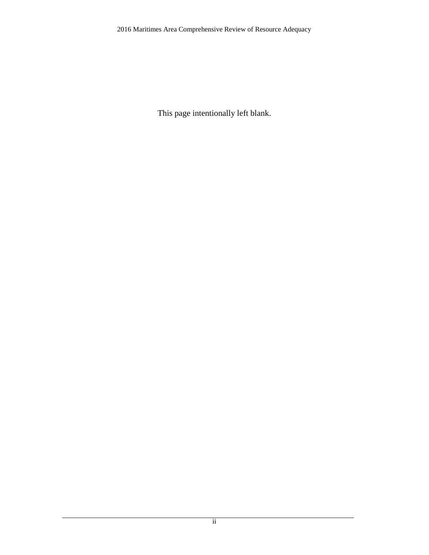This page intentionally left blank.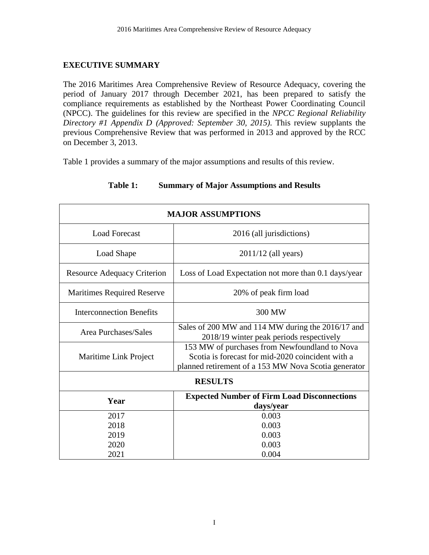## **EXECUTIVE SUMMARY**

The 2016 Maritimes Area Comprehensive Review of Resource Adequacy, covering the period of January 2017 through December 2021, has been prepared to satisfy the compliance requirements as established by the Northeast Power Coordinating Council (NPCC). The guidelines for this review are specified in the *NPCC Regional Reliability Directory #1 Appendix D (Approved: September 30, 2015)*. This review supplants the previous Comprehensive Review that was performed in 2013 and approved by the RCC on December 3, 2013.

Table 1 provides a summary of the major assumptions and results of this review.

| <b>MAJOR ASSUMPTIONS</b>           |                                                                                                                                                            |  |  |  |  |
|------------------------------------|------------------------------------------------------------------------------------------------------------------------------------------------------------|--|--|--|--|
| <b>Load Forecast</b>               | 2016 (all jurisdictions)                                                                                                                                   |  |  |  |  |
| Load Shape                         | $2011/12$ (all years)                                                                                                                                      |  |  |  |  |
| <b>Resource Adequacy Criterion</b> | Loss of Load Expectation not more than 0.1 days/year                                                                                                       |  |  |  |  |
| <b>Maritimes Required Reserve</b>  | 20% of peak firm load                                                                                                                                      |  |  |  |  |
| <b>Interconnection Benefits</b>    | 300 MW                                                                                                                                                     |  |  |  |  |
| Area Purchases/Sales               | Sales of 200 MW and 114 MW during the 2016/17 and<br>2018/19 winter peak periods respectively                                                              |  |  |  |  |
| Maritime Link Project              | 153 MW of purchases from Newfoundland to Nova<br>Scotia is forecast for mid-2020 coincident with a<br>planned retirement of a 153 MW Nova Scotia generator |  |  |  |  |
|                                    | <b>RESULTS</b>                                                                                                                                             |  |  |  |  |
| Year                               | <b>Expected Number of Firm Load Disconnections</b><br>days/year                                                                                            |  |  |  |  |
| 2017                               | 0.003                                                                                                                                                      |  |  |  |  |
| 2018                               | 0.003                                                                                                                                                      |  |  |  |  |
| 2019                               | 0.003                                                                                                                                                      |  |  |  |  |
| 0.003<br>2020                      |                                                                                                                                                            |  |  |  |  |
| 0.004<br>2021                      |                                                                                                                                                            |  |  |  |  |

#### **Table 1: Summary of Major Assumptions and Results**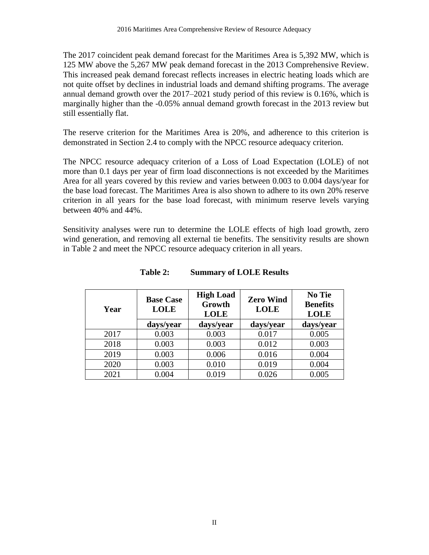The 2017 coincident peak demand forecast for the Maritimes Area is 5,392 MW, which is 125 MW above the 5,267 MW peak demand forecast in the 2013 Comprehensive Review. This increased peak demand forecast reflects increases in electric heating loads which are not quite offset by declines in industrial loads and demand shifting programs. The average annual demand growth over the 2017–2021 study period of this review is 0.16%, which is marginally higher than the -0.05% annual demand growth forecast in the 2013 review but still essentially flat.

The reserve criterion for the Maritimes Area is 20%, and adherence to this criterion is demonstrated in Section 2.4 to comply with the NPCC resource adequacy criterion.

The NPCC resource adequacy criterion of a Loss of Load Expectation (LOLE) of not more than 0.1 days per year of firm load disconnections is not exceeded by the Maritimes Area for all years covered by this review and varies between 0.003 to 0.004 days/year for the base load forecast. The Maritimes Area is also shown to adhere to its own 20% reserve criterion in all years for the base load forecast, with minimum reserve levels varying between 40% and 44%.

Sensitivity analyses were run to determine the LOLE effects of high load growth, zero wind generation, and removing all external tie benefits. The sensitivity results are shown in Table 2 and meet the NPCC resource adequacy criterion in all years.

| Year | <b>Base Case</b><br><b>LOLE</b><br>days/year | <b>High Load</b><br>Growth<br><b>LOLE</b><br>days/year | <b>Zero Wind</b><br><b>LOLE</b><br>days/year | No Tie<br><b>Benefits</b><br><b>LOLE</b><br>days/year |
|------|----------------------------------------------|--------------------------------------------------------|----------------------------------------------|-------------------------------------------------------|
| 2017 | 0.003                                        | 0.003                                                  | 0.017                                        | 0.005                                                 |
| 2018 | 0.003                                        | 0.003                                                  | 0.012                                        | 0.003                                                 |
| 2019 | 0.003                                        | 0.006                                                  | 0.016                                        | 0.004                                                 |
| 2020 | 0.003                                        | 0.010                                                  | 0.019                                        | 0.004                                                 |
| 2021 | 0.004                                        | 0.019                                                  | 0.026                                        | 0.005                                                 |

#### **Table 2: Summary of LOLE Results**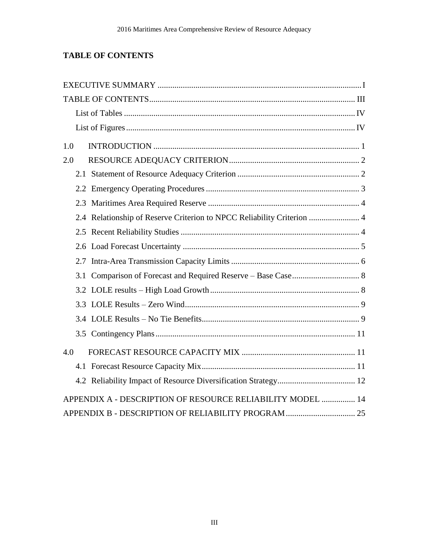## **TABLE OF CONTENTS**

| 1.0 |                                                                        |  |
|-----|------------------------------------------------------------------------|--|
| 2.0 |                                                                        |  |
|     |                                                                        |  |
|     |                                                                        |  |
|     |                                                                        |  |
|     | 2.4 Relationship of Reserve Criterion to NPCC Reliability Criterion  4 |  |
|     |                                                                        |  |
|     |                                                                        |  |
|     |                                                                        |  |
|     |                                                                        |  |
|     |                                                                        |  |
|     |                                                                        |  |
|     |                                                                        |  |
|     |                                                                        |  |
| 4.0 |                                                                        |  |
|     |                                                                        |  |
|     |                                                                        |  |
|     | APPENDIX A - DESCRIPTION OF RESOURCE RELIABILITY MODEL  14             |  |
|     |                                                                        |  |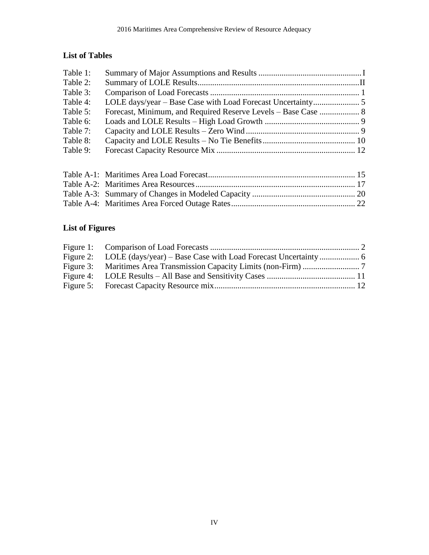## **List of Tables**

| Table 1: |  |
|----------|--|
| Table 2: |  |
| Table 3: |  |
| Table 4: |  |
| Table 5: |  |
| Table 6: |  |
| Table 7: |  |
| Table 8: |  |
| Table 9: |  |
|          |  |
|          |  |

| $10000111$ , maintinos moderna concelho de construcción de la concelho de la concelho de la concelho de la concelho de la concelho de la concelho de la concelho de la concelho de la concelho de la concelho de la concelho d |  |
|--------------------------------------------------------------------------------------------------------------------------------------------------------------------------------------------------------------------------------|--|
|                                                                                                                                                                                                                                |  |
|                                                                                                                                                                                                                                |  |
|                                                                                                                                                                                                                                |  |
|                                                                                                                                                                                                                                |  |

# **List of Figures**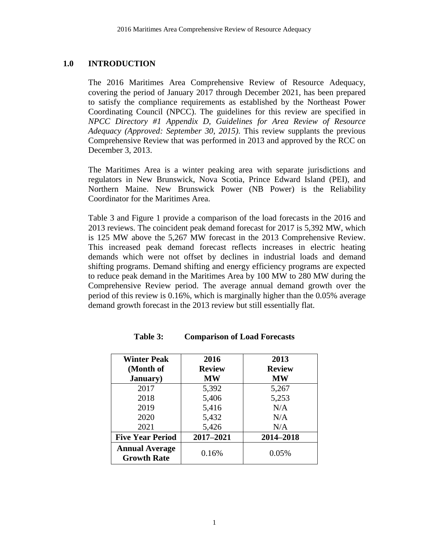## **1.0 INTRODUCTION**

The 2016 Maritimes Area Comprehensive Review of Resource Adequacy, covering the period of January 2017 through December 2021, has been prepared to satisfy the compliance requirements as established by the Northeast Power Coordinating Council (NPCC). The guidelines for this review are specified in *NPCC Directory #1 Appendix D, Guidelines for Area Review of Resource Adequacy (Approved: September 30, 2015)*. This review supplants the previous Comprehensive Review that was performed in 2013 and approved by the RCC on December 3, 2013.

The Maritimes Area is a winter peaking area with separate jurisdictions and regulators in New Brunswick, Nova Scotia, Prince Edward Island (PEI), and Northern Maine. New Brunswick Power (NB Power) is the Reliability Coordinator for the Maritimes Area.

Table 3 and Figure 1 provide a comparison of the load forecasts in the 2016 and 2013 reviews. The coincident peak demand forecast for 2017 is 5,392 MW, which is 125 MW above the 5,267 MW forecast in the 2013 Comprehensive Review. This increased peak demand forecast reflects increases in electric heating demands which were not offset by declines in industrial loads and demand shifting programs. Demand shifting and energy efficiency programs are expected to reduce peak demand in the Maritimes Area by 100 MW to 280 MW during the Comprehensive Review period. The average annual demand growth over the period of this review is 0.16%, which is marginally higher than the 0.05% average demand growth forecast in the 2013 review but still essentially flat.

| <b>Winter Peak</b>                          | 2016          | 2013          |
|---------------------------------------------|---------------|---------------|
| (Month of                                   | <b>Review</b> | <b>Review</b> |
| January)                                    | <b>MW</b>     | <b>MW</b>     |
| 2017                                        | 5,392         | 5,267         |
| 2018                                        | 5,406         | 5,253         |
| 2019                                        | 5,416         | N/A           |
| 2020                                        | 5,432         | N/A           |
| 2021                                        | 5,426         | N/A           |
| <b>Five Year Period</b>                     | 2017-2021     | 2014-2018     |
| <b>Annual Average</b><br><b>Growth Rate</b> | 0.16%         | 0.05%         |

**Table 3: Comparison of Load Forecasts**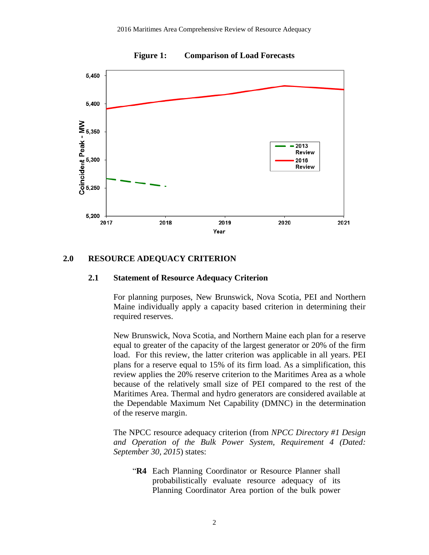

**Figure 1: Comparison of Load Forecasts**

#### **2.0 RESOURCE ADEQUACY CRITERION**

#### **2.1 Statement of Resource Adequacy Criterion**

For planning purposes, New Brunswick, Nova Scotia, PEI and Northern Maine individually apply a capacity based criterion in determining their required reserves.

New Brunswick, Nova Scotia, and Northern Maine each plan for a reserve equal to greater of the capacity of the largest generator or 20% of the firm load. For this review, the latter criterion was applicable in all years. PEI plans for a reserve equal to 15% of its firm load. As a simplification, this review applies the 20% reserve criterion to the Maritimes Area as a whole because of the relatively small size of PEI compared to the rest of the Maritimes Area. Thermal and hydro generators are considered available at the Dependable Maximum Net Capability (DMNC) in the determination of the reserve margin.

The NPCC resource adequacy criterion (from *NPCC Directory #1 Design and Operation of the Bulk Power System, Requirement 4 (Dated: September 30, 2015*) states:

"**R4** Each Planning Coordinator or Resource Planner shall probabilistically evaluate resource adequacy of its Planning Coordinator Area portion of the bulk power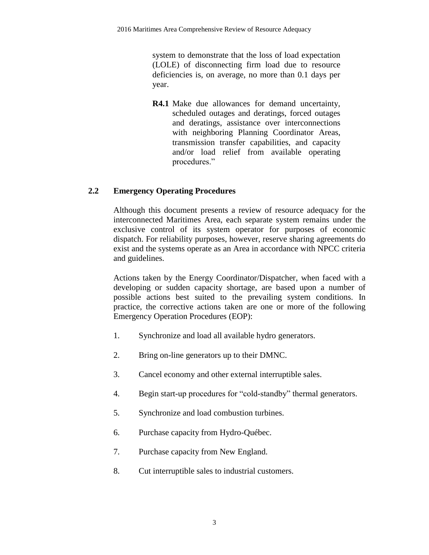system to demonstrate that the loss of load expectation (LOLE) of disconnecting firm load due to resource deficiencies is, on average, no more than 0.1 days per year.

**R4.1** Make due allowances for demand uncertainty, scheduled outages and deratings, forced outages and deratings, assistance over interconnections with neighboring Planning Coordinator Areas, transmission transfer capabilities, and capacity and/or load relief from available operating procedures."

## **2.2 Emergency Operating Procedures**

Although this document presents a review of resource adequacy for the interconnected Maritimes Area, each separate system remains under the exclusive control of its system operator for purposes of economic dispatch. For reliability purposes, however, reserve sharing agreements do exist and the systems operate as an Area in accordance with NPCC criteria and guidelines.

Actions taken by the Energy Coordinator/Dispatcher, when faced with a developing or sudden capacity shortage, are based upon a number of possible actions best suited to the prevailing system conditions. In practice, the corrective actions taken are one or more of the following Emergency Operation Procedures (EOP):

- 1. Synchronize and load all available hydro generators.
- 2. Bring on-line generators up to their DMNC.
- 3. Cancel economy and other external interruptible sales.
- 4. Begin start-up procedures for "cold-standby" thermal generators.
- 5. Synchronize and load combustion turbines.
- 6. Purchase capacity from Hydro-Québec.
- 7. Purchase capacity from New England.
- 8. Cut interruptible sales to industrial customers.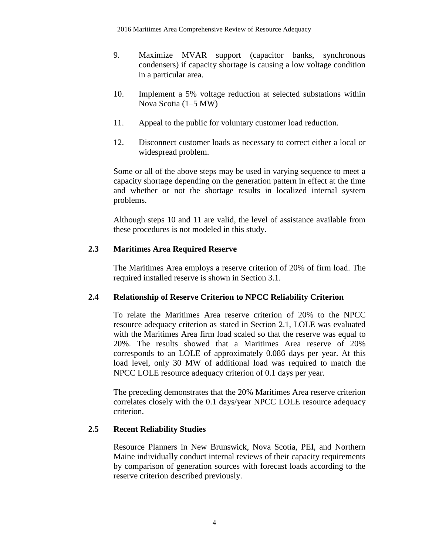- 9. Maximize MVAR support (capacitor banks, synchronous condensers) if capacity shortage is causing a low voltage condition in a particular area.
- 10. Implement a 5% voltage reduction at selected substations within Nova Scotia (1–5 MW)
- 11. Appeal to the public for voluntary customer load reduction.
- 12. Disconnect customer loads as necessary to correct either a local or widespread problem.

Some or all of the above steps may be used in varying sequence to meet a capacity shortage depending on the generation pattern in effect at the time and whether or not the shortage results in localized internal system problems.

Although steps 10 and 11 are valid, the level of assistance available from these procedures is not modeled in this study.

## **2.3 Maritimes Area Required Reserve**

The Maritimes Area employs a reserve criterion of 20% of firm load. The required installed reserve is shown in Section 3.1.

## **2.4 Relationship of Reserve Criterion to NPCC Reliability Criterion**

To relate the Maritimes Area reserve criterion of 20% to the NPCC resource adequacy criterion as stated in Section 2.1, LOLE was evaluated with the Maritimes Area firm load scaled so that the reserve was equal to 20%. The results showed that a Maritimes Area reserve of 20% corresponds to an LOLE of approximately 0.086 days per year. At this load level, only 30 MW of additional load was required to match the NPCC LOLE resource adequacy criterion of 0.1 days per year.

The preceding demonstrates that the 20% Maritimes Area reserve criterion correlates closely with the 0.1 days/year NPCC LOLE resource adequacy criterion.

## **2.5 Recent Reliability Studies**

Resource Planners in New Brunswick, Nova Scotia, PEI, and Northern Maine individually conduct internal reviews of their capacity requirements by comparison of generation sources with forecast loads according to the reserve criterion described previously.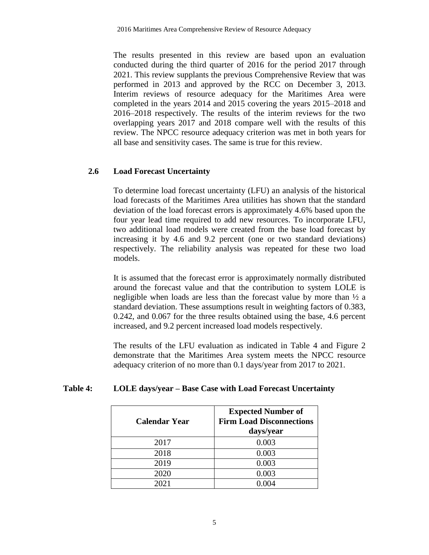The results presented in this review are based upon an evaluation conducted during the third quarter of 2016 for the period 2017 through 2021. This review supplants the previous Comprehensive Review that was performed in 2013 and approved by the RCC on December 3, 2013. Interim reviews of resource adequacy for the Maritimes Area were completed in the years 2014 and 2015 covering the years 2015–2018 and 2016–2018 respectively. The results of the interim reviews for the two overlapping years 2017 and 2018 compare well with the results of this review. The NPCC resource adequacy criterion was met in both years for all base and sensitivity cases. The same is true for this review.

#### **2.6 Load Forecast Uncertainty**

To determine load forecast uncertainty (LFU) an analysis of the historical load forecasts of the Maritimes Area utilities has shown that the standard deviation of the load forecast errors is approximately 4.6% based upon the four year lead time required to add new resources. To incorporate LFU, two additional load models were created from the base load forecast by increasing it by 4.6 and 9.2 percent (one or two standard deviations) respectively. The reliability analysis was repeated for these two load models.

It is assumed that the forecast error is approximately normally distributed around the forecast value and that the contribution to system LOLE is negligible when loads are less than the forecast value by more than ½ a standard deviation. These assumptions result in weighting factors of 0.383, 0.242, and 0.067 for the three results obtained using the base, 4.6 percent increased, and 9.2 percent increased load models respectively.

The results of the LFU evaluation as indicated in Table 4 and Figure 2 demonstrate that the Maritimes Area system meets the NPCC resource adequacy criterion of no more than 0.1 days/year from 2017 to 2021.

| <b>Table 4:</b> | LOLE days/year – Base Case with Load Forecast Uncertainty |
|-----------------|-----------------------------------------------------------|
|-----------------|-----------------------------------------------------------|

| <b>Calendar Year</b> | <b>Expected Number of</b><br><b>Firm Load Disconnections</b><br>days/year |
|----------------------|---------------------------------------------------------------------------|
| 2017                 | 0.003                                                                     |
| 2018                 | 0.003                                                                     |
| 2019                 | 0.003                                                                     |
| 2020                 | 0.003                                                                     |
|                      |                                                                           |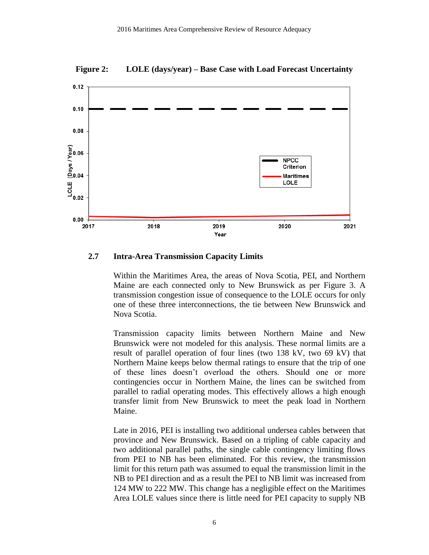

**Figure 2: LOLE (days/year) – Base Case with Load Forecast Uncertainty**

#### **2.7 Intra-Area Transmission Capacity Limits**

Within the Maritimes Area, the areas of Nova Scotia, PEI, and Northern Maine are each connected only to New Brunswick as per Figure 3. A transmission congestion issue of consequence to the LOLE occurs for only one of these three interconnections, the tie between New Brunswick and Nova Scotia.

Transmission capacity limits between Northern Maine and New Brunswick were not modeled for this analysis. These normal limits are a result of parallel operation of four lines (two 138 kV, two 69 kV) that Northern Maine keeps below thermal ratings to ensure that the trip of one of these lines doesn't overload the others. Should one or more contingencies occur in Northern Maine, the lines can be switched from parallel to radial operating modes. This effectively allows a high enough transfer limit from New Brunswick to meet the peak load in Northern Maine.

Late in 2016, PEI is installing two additional undersea cables between that province and New Brunswick. Based on a tripling of cable capacity and two additional parallel paths, the single cable contingency limiting flows from PEI to NB has been eliminated. For this review, the transmission limit for this return path was assumed to equal the transmission limit in the NB to PEI direction and as a result the PEI to NB limit was increased from 124 MW to 222 MW. This change has a negligible effect on the Maritimes Area LOLE values since there is little need for PEI capacity to supply NB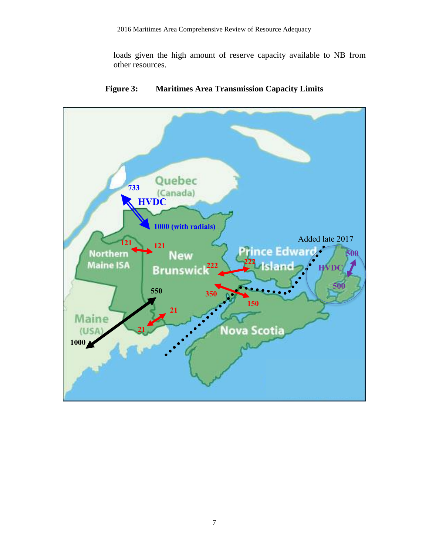loads given the high amount of reserve capacity available to NB from other resources.



**Figure 3: Maritimes Area Transmission Capacity Limits**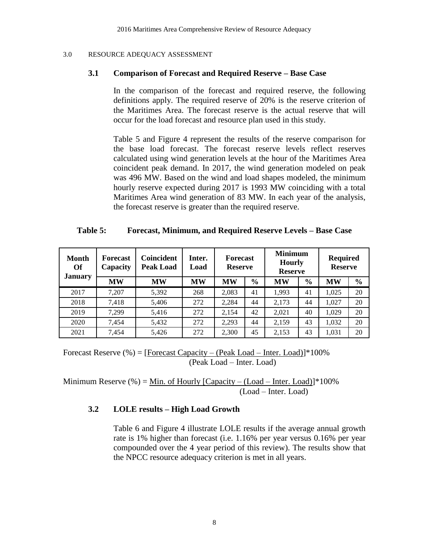#### 3.0 RESOURCE ADEQUACY ASSESSMENT

#### **3.1 Comparison of Forecast and Required Reserve – Base Case**

In the comparison of the forecast and required reserve, the following definitions apply. The required reserve of 20% is the reserve criterion of the Maritimes Area. The forecast reserve is the actual reserve that will occur for the load forecast and resource plan used in this study.

Table 5 and Figure 4 represent the results of the reserve comparison for the base load forecast. The forecast reserve levels reflect reserves calculated using wind generation levels at the hour of the Maritimes Area coincident peak demand. In 2017, the wind generation modeled on peak was 496 MW. Based on the wind and load shapes modeled, the minimum hourly reserve expected during 2017 is 1993 MW coinciding with a total Maritimes Area wind generation of 83 MW. In each year of the analysis, the forecast reserve is greater than the required reserve.

#### **Table 5: Forecast, Minimum, and Required Reserve Levels – Base Case**

| <b>Month</b><br><b>Of</b><br><b>January</b> | <b>Forecast</b><br>Capacity | <b>Coincident</b><br><b>Peak Load</b> | Inter.<br>Load | <b>Forecast</b><br><b>Reserve</b> |               | <b>Minimum</b><br><b>Hourly</b><br><b>Reserve</b> |               | <b>Required</b><br><b>Reserve</b> |               |
|---------------------------------------------|-----------------------------|---------------------------------------|----------------|-----------------------------------|---------------|---------------------------------------------------|---------------|-----------------------------------|---------------|
|                                             | MW                          | MW                                    | <b>MW</b>      | <b>MW</b>                         | $\frac{6}{6}$ | <b>MW</b>                                         | $\frac{6}{6}$ | MW                                | $\frac{6}{6}$ |
| 2017                                        | 7,207                       | 5,392                                 | 268            | 2,083                             | 41            | 1,993                                             | 41            | 1,025                             | 20            |
| 2018                                        | 7,418                       | 5,406                                 | 272            | 2,284                             | 44            | 2,173                                             | 44            | 1,027                             | 20            |
| 2019                                        | 7.299                       | 5,416                                 | 272            | 2,154                             | 42            | 2,021                                             | 40            | 1.029                             | 20            |
| 2020                                        | 7.454                       | 5,432                                 | 272            | 2.293                             | 44            | 2.159                                             | 43            | 1,032                             | 20            |
| 2021                                        | 7.454                       | 5,426                                 | 272            | 2,300                             | 45            | 2,153                                             | 43            | 1,031                             | 20            |

Forecast Reserve  $%$  = [Forecast Capacity – (Peak Load – Inter. Load)]\*100% (Peak Load – Inter. Load)

Minimum Reserve  $(\%)$  = Min. of Hourly [Capacity – (Load – Inter. Load)]\*100% (Load – Inter. Load)

## **3.2 LOLE results – High Load Growth**

Table 6 and Figure 4 illustrate LOLE results if the average annual growth rate is 1% higher than forecast (i.e. 1.16% per year versus 0.16% per year compounded over the 4 year period of this review). The results show that the NPCC resource adequacy criterion is met in all years.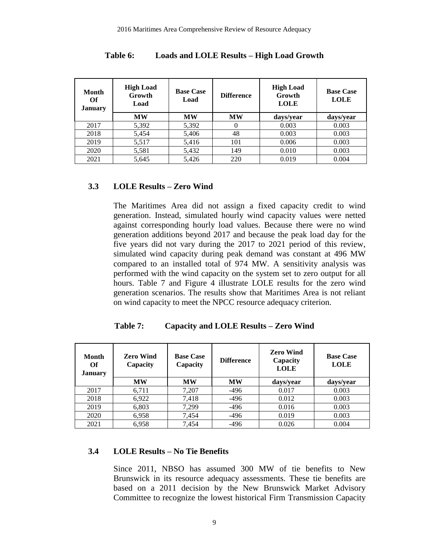| <b>Month</b><br>Of<br><b>January</b> | <b>High Load</b><br>Growth<br>Load | <b>Base Case</b><br>Load | <b>Difference</b> | <b>High Load</b><br>Growth<br><b>LOLE</b> | <b>Base Case</b><br><b>LOLE</b> |
|--------------------------------------|------------------------------------|--------------------------|-------------------|-------------------------------------------|---------------------------------|
|                                      | <b>MW</b>                          | <b>MW</b>                | <b>MW</b>         | days/year                                 | days/year                       |
| 2017                                 | 5,392                              | 5,392                    |                   | 0.003                                     | 0.003                           |
| 2018                                 | 5,454                              | 5,406                    | 48                | 0.003                                     | 0.003                           |
| 2019                                 | 5,517                              | 5,416                    | 101               | 0.006                                     | 0.003                           |
| 2020                                 | 5,581                              | 5,432                    | 149               | 0.010                                     | 0.003                           |
| 2021                                 | 5,645                              | 5,426                    | 220               | 0.019                                     | 0.004                           |

**Table 6: Loads and LOLE Results – High Load Growth**

#### **3.3 LOLE Results – Zero Wind**

The Maritimes Area did not assign a fixed capacity credit to wind generation. Instead, simulated hourly wind capacity values were netted against corresponding hourly load values. Because there were no wind generation additions beyond 2017 and because the peak load day for the five years did not vary during the 2017 to 2021 period of this review, simulated wind capacity during peak demand was constant at 496 MW compared to an installed total of 974 MW. A sensitivity analysis was performed with the wind capacity on the system set to zero output for all hours. Table 7 and Figure 4 illustrate LOLE results for the zero wind generation scenarios. The results show that Maritimes Area is not reliant on wind capacity to meet the NPCC resource adequacy criterion.

**Table 7: Capacity and LOLE Results – Zero Wind**

| Month<br>Of<br><b>January</b> | Zero Wind<br>Capacity | <b>Base Case</b><br>Capacity | <b>Difference</b> | <b>Zero Wind</b><br>Capacity<br><b>LOLE</b> | <b>Base Case</b><br><b>LOLE</b> |
|-------------------------------|-----------------------|------------------------------|-------------------|---------------------------------------------|---------------------------------|
|                               | <b>MW</b>             | <b>MW</b>                    | <b>MW</b>         | days/year                                   | days/year                       |
| 2017                          | 6,711                 | 7,207                        | $-496$            | 0.017                                       | 0.003                           |
| 2018                          | 6.922                 | 7,418                        | $-496$            | 0.012                                       | 0.003                           |
| 2019                          | 6,803                 | 7.299                        | $-496$            | 0.016                                       | 0.003                           |
| 2020                          | 6,958                 | 7,454                        | $-496$            | 0.019                                       | 0.003                           |
| 2021                          | 6,958                 | 7.454                        | $-496$            | 0.026                                       | 0.004                           |

#### **3.4 LOLE Results – No Tie Benefits**

Since 2011, NBSO has assumed 300 MW of tie benefits to New Brunswick in its resource adequacy assessments. These tie benefits are based on a 2011 decision by the New Brunswick Market Advisory Committee to recognize the lowest historical Firm Transmission Capacity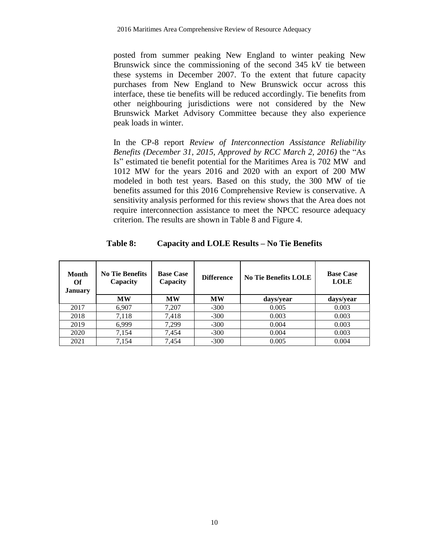posted from summer peaking New England to winter peaking New Brunswick since the commissioning of the second 345 kV tie between these systems in December 2007. To the extent that future capacity purchases from New England to New Brunswick occur across this interface, these tie benefits will be reduced accordingly. Tie benefits from other neighbouring jurisdictions were not considered by the New Brunswick Market Advisory Committee because they also experience peak loads in winter.

In the CP-8 report *Review of Interconnection Assistance Reliability Benefits (December 31, 2015, Approved by RCC March 2, 2016)* the "As Is" estimated tie benefit potential for the Maritimes Area is 702 MW and 1012 MW for the years 2016 and 2020 with an export of 200 MW modeled in both test years. Based on this study, the 300 MW of tie benefits assumed for this 2016 Comprehensive Review is conservative. A sensitivity analysis performed for this review shows that the Area does not require interconnection assistance to meet the NPCC resource adequacy criterion. The results are shown in Table 8 and Figure 4.

| Table 8: | Capacity and LOLE Results – No Tie Benefits |  |
|----------|---------------------------------------------|--|
|          |                                             |  |

| Month<br>Of<br><b>January</b> | <b>No Tie Benefits</b><br>Capacity | <b>Base Case</b><br>Capacity | <b>Difference</b> | <b>No Tie Benefits LOLE</b> | <b>Base Case</b><br><b>LOLE</b> |
|-------------------------------|------------------------------------|------------------------------|-------------------|-----------------------------|---------------------------------|
|                               | <b>MW</b>                          | <b>MW</b>                    | <b>MW</b>         | days/year                   | days/year                       |
| 2017                          | 6,907                              | 7,207                        | $-300$            | 0.005                       | 0.003                           |
| 2018                          | 7,118                              | 7,418                        | $-300$            | 0.003                       | 0.003                           |
| 2019                          | 6,999                              | 7,299                        | $-300$            | 0.004                       | 0.003                           |
| 2020                          | 7,154                              | 7,454                        | $-300$            | 0.004                       | 0.003                           |
| 2021                          | 7,154                              | 7,454                        | $-300$            | 0.005                       | 0.004                           |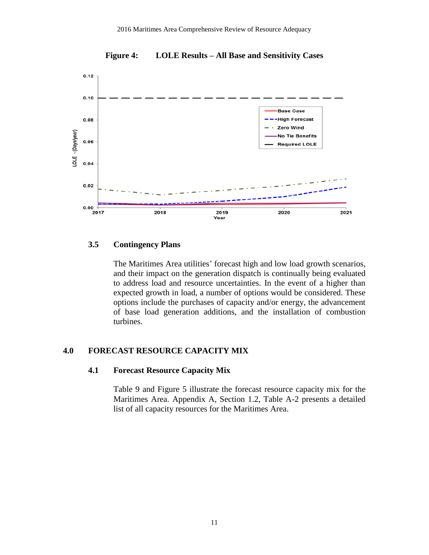

**Figure 4: LOLE Results – All Base and Sensitivity Cases**

#### **3.5 Contingency Plans**

The Maritimes Area utilities' forecast high and low load growth scenarios, and their impact on the generation dispatch is continually being evaluated to address load and resource uncertainties. In the event of a higher than expected growth in load, a number of options would be considered. These options include the purchases of capacity and/or energy, the advancement of base load generation additions, and the installation of combustion turbines.

#### **4.0 FORECAST RESOURCE CAPACITY MIX**

#### **4.1 Forecast Resource Capacity Mix**

Table 9 and Figure 5 illustrate the forecast resource capacity mix for the Maritimes Area. Appendix A, Section 1.2, Table A-2 presents a detailed list of all capacity resources for the Maritimes Area.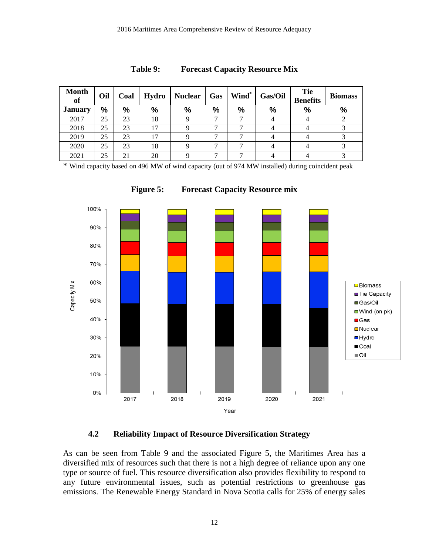| <b>Month</b><br><b>of</b> | Oil | Coal | Hydro | <b>Nuclear</b> | Gas | Wind* | Gas/Oil | <b>Tie</b><br><b>Benefits</b> | <b>Biomass</b> |
|---------------------------|-----|------|-------|----------------|-----|-------|---------|-------------------------------|----------------|
| <b>January</b>            | %   | %    | %     | %              | %   | %     | %       | %                             | %              |
| 2017                      | 25  | 23   | 18    |                |     |       |         |                               |                |
| 2018                      | 25  | 23   | 17    |                |     |       |         |                               |                |
| 2019                      | 25  | 23   | 17    |                | ⇁   |       |         |                               |                |
| 2020                      | 25  | 23   | 18    |                |     |       |         |                               |                |
| 2021                      | 25  | 21   | 20    |                |     |       |         |                               |                |

**Table 9: Forecast Capacity Resource Mix**

\* Wind capacity based on 496 MW of wind capacity (out of 974 MW installed) during coincident peak



**Figure 5: Forecast Capacity Resource mix**

#### **4.2 Reliability Impact of Resource Diversification Strategy**

As can be seen from Table 9 and the associated Figure 5, the Maritimes Area has a diversified mix of resources such that there is not a high degree of reliance upon any one type or source of fuel. This resource diversification also provides flexibility to respond to any future environmental issues, such as potential restrictions to greenhouse gas emissions. The Renewable Energy Standard in Nova Scotia calls for 25% of energy sales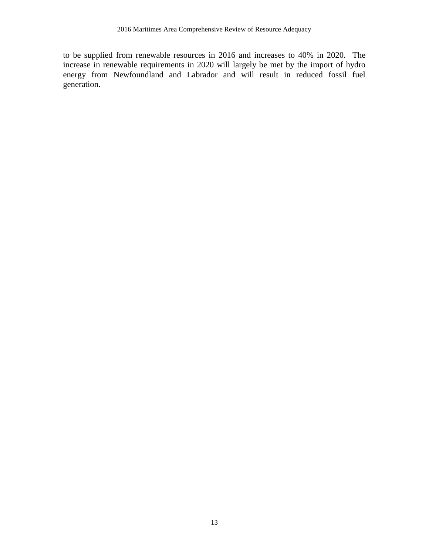to be supplied from renewable resources in 2016 and increases to 40% in 2020. The increase in renewable requirements in 2020 will largely be met by the import of hydro energy from Newfoundland and Labrador and will result in reduced fossil fuel generation.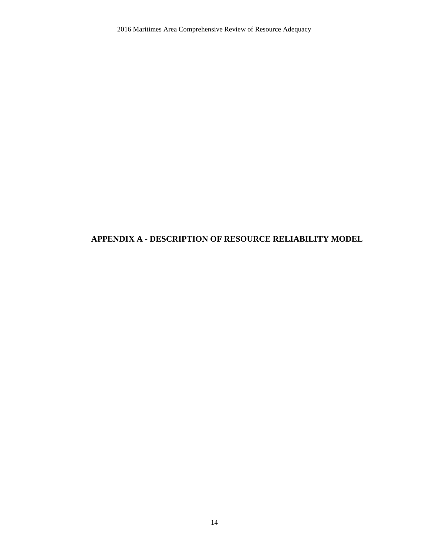## **APPENDIX A - DESCRIPTION OF RESOURCE RELIABILITY MODEL**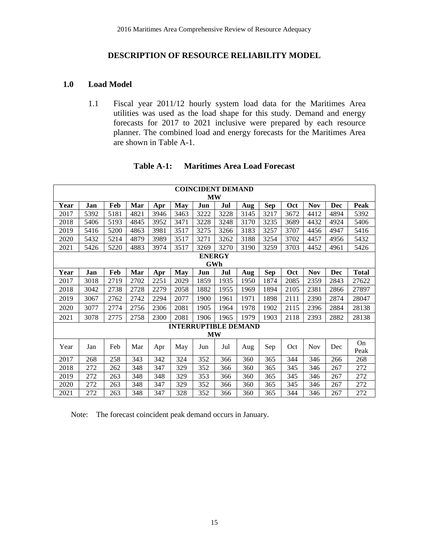#### **DESCRIPTION OF RESOURCE RELIABILITY MODEL**

#### **1.0 Load Model**

1.1 Fiscal year 2011/12 hourly system load data for the Maritimes Area utilities was used as the load shape for this study. Demand and energy forecasts for 2017 to 2021 inclusive were prepared by each resource planner. The combined load and energy forecasts for the Maritimes Area are shown in Table A-1.

|               | <b>COINCIDENT DEMAND</b><br><b>MW</b> |      |      |      |                             |           |      |      |            |      |            |      |              |
|---------------|---------------------------------------|------|------|------|-----------------------------|-----------|------|------|------------|------|------------|------|--------------|
| Year          | Jan                                   | Feb  | Mar  | Apr  | <b>May</b>                  | Jun       | Jul  | Aug  | <b>Sep</b> | Oct  | <b>Nov</b> | Dec  | <b>Peak</b>  |
| 2017          | 5392                                  | 5181 | 4821 | 3946 | 3463                        | 3222      | 3228 | 3145 | 3217       | 3672 | 4412       | 4894 | 5392         |
| 2018          | 5406                                  | 5193 | 4845 | 3952 | 3471                        | 3228      | 3248 | 3170 | 3235       | 3689 | 4432       | 4924 | 5406         |
| 2019          | 5416                                  | 5200 | 4863 | 3981 | 3517                        | 3275      | 3266 | 3183 | 3257       | 3707 | 4456       | 4947 | 5416         |
| 2020          | 5432                                  | 5214 | 4879 | 3989 | 3517                        | 3271      | 3262 | 3188 | 3254       | 3702 | 4457       | 4956 | 5432         |
| 2021          | 5426                                  | 5220 | 4883 | 3974 | 3517                        | 3269      | 3270 | 3190 | 3259       | 3703 | 4452       | 4961 | 5426         |
| <b>ENERGY</b> |                                       |      |      |      |                             |           |      |      |            |      |            |      |              |
| GWh           |                                       |      |      |      |                             |           |      |      |            |      |            |      |              |
| Year          | Jan                                   | Feb  | Mar  | Apr  | <b>May</b>                  | Jun       | Jul  | Aug  | <b>Sep</b> | Oct  | <b>Nov</b> | Dec  | <b>Total</b> |
| 2017          | 3018                                  | 2719 | 2702 | 2251 | 2029                        | 1859      | 1935 | 1950 | 1874       | 2085 | 2359       | 2843 | 27622        |
| 2018          | 3042                                  | 2738 | 2728 | 2279 | 2058                        | 1882      | 1955 | 1969 | 1894       | 2105 | 2381       | 2866 | 27897        |
| 2019          | 3067                                  | 2762 | 2742 | 2294 | 2077                        | 1900      | 1961 | 1971 | 1898       | 2111 | 2390       | 2874 | 28047        |
| 2020          | 3077                                  | 2774 | 2756 | 2306 | 2081                        | 1905      | 1964 | 1978 | 1902       | 2115 | 2396       | 2884 | 28138        |
| 2021          | 3078                                  | 2775 | 2758 | 2300 | 2081                        | 1906      | 1965 | 1979 | 1903       | 2118 | 2393       | 2882 | 28138        |
|               |                                       |      |      |      | <b>INTERRUPTIBLE DEMAND</b> |           |      |      |            |      |            |      |              |
|               |                                       |      |      |      |                             | <b>MW</b> |      |      |            |      |            |      |              |
| Year          | Jan                                   | Feb  | Mar  | Apr  | May                         | Jun       | Jul  | Aug  | Sep        | Oct  | <b>Nov</b> | Dec  | On           |
|               |                                       |      |      |      |                             |           |      |      |            |      |            |      | Peak         |
| 2017          | 268                                   | 258  | 343  | 342  | 324                         | 352       | 366  | 360  | 365        | 344  | 346        | 266  | 268          |
| 2018          | 272                                   | 262  | 348  | 347  | 329                         | 352       | 366  | 360  | 365        | 345  | 346        | 267  | 272          |
| 2019          | 272                                   | 263  | 348  | 348  | 329                         | 353       | 366  | 360  | 365        | 345  | 346        | 267  | 272          |
| 2020          | 272                                   | 263  | 348  | 347  | 329                         | 352       | 366  | 360  | 365        | 345  | 346        | 267  | 272          |
| 2021          | 272                                   | 263  | 348  | 347  | 328                         | 352       | 366  | 360  | 365        | 344  | 346        | 267  | 272          |

| Table A-1:<br><b>Maritimes Area Load Forecast</b> |
|---------------------------------------------------|
|---------------------------------------------------|

Note: The forecast coincident peak demand occurs in January.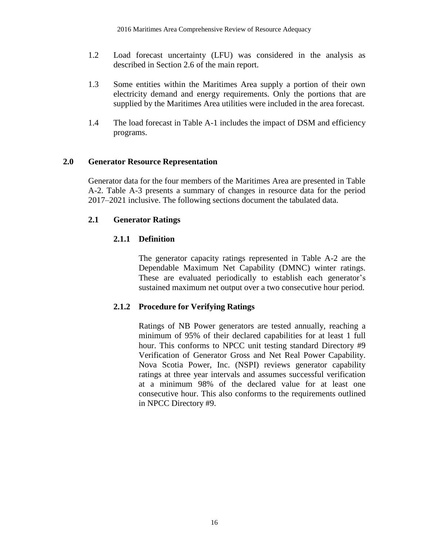- 1.2 Load forecast uncertainty (LFU) was considered in the analysis as described in Section 2.6 of the main report.
- 1.3 Some entities within the Maritimes Area supply a portion of their own electricity demand and energy requirements. Only the portions that are supplied by the Maritimes Area utilities were included in the area forecast.
- 1.4 The load forecast in Table A-1 includes the impact of DSM and efficiency programs.

## **2.0 Generator Resource Representation**

Generator data for the four members of the Maritimes Area are presented in Table A-2. Table A-3 presents a summary of changes in resource data for the period 2017–2021 inclusive. The following sections document the tabulated data.

## **2.1 Generator Ratings**

## **2.1.1 Definition**

The generator capacity ratings represented in Table A-2 are the Dependable Maximum Net Capability (DMNC) winter ratings. These are evaluated periodically to establish each generator's sustained maximum net output over a two consecutive hour period.

## **2.1.2 Procedure for Verifying Ratings**

Ratings of NB Power generators are tested annually, reaching a minimum of 95% of their declared capabilities for at least 1 full hour. This conforms to NPCC unit testing standard Directory #9 Verification of Generator Gross and Net Real Power Capability. Nova Scotia Power, Inc. (NSPI) reviews generator capability ratings at three year intervals and assumes successful verification at a minimum 98% of the declared value for at least one consecutive hour. This also conforms to the requirements outlined in NPCC Directory #9.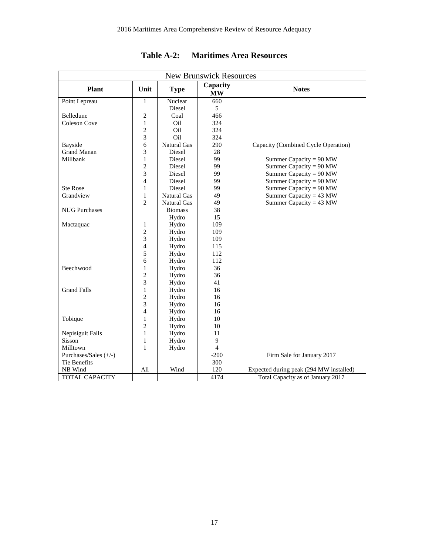| <b>New Brunswick Resources</b> |                |                    |                       |                                         |  |  |  |  |
|--------------------------------|----------------|--------------------|-----------------------|-----------------------------------------|--|--|--|--|
| <b>Plant</b>                   | Unit           | <b>Type</b>        | Capacity<br><b>MW</b> | <b>Notes</b>                            |  |  |  |  |
| Point Lepreau                  | $\mathbf{1}$   | Nuclear            | 660                   |                                         |  |  |  |  |
|                                |                | Diesel             | 5                     |                                         |  |  |  |  |
| Belledune                      | $\mathbf{2}$   | Coal               | 466                   |                                         |  |  |  |  |
| <b>Coleson Cove</b>            | $\mathbf{1}$   | Oil                | 324                   |                                         |  |  |  |  |
|                                | $\overline{c}$ | Oil                | 324                   |                                         |  |  |  |  |
|                                | 3              | Oil                | 324                   |                                         |  |  |  |  |
| Bayside                        | $\sqrt{6}$     | <b>Natural Gas</b> | 290                   | Capacity (Combined Cycle Operation)     |  |  |  |  |
| <b>Grand Manan</b>             | 3              | Diesel             | 28                    |                                         |  |  |  |  |
| Millbank                       | $\mathbf{1}$   | Diesel             | 99                    | Summer Capacity = $90$ MW               |  |  |  |  |
|                                | $\overline{c}$ | Diesel             | 99                    | Summer Capacity = $90$ MW               |  |  |  |  |
|                                | 3              | Diesel             | 99                    | Summer Capacity = $90$ MW               |  |  |  |  |
|                                | $\overline{4}$ | Diesel             | 99                    | Summer Capacity = $90$ MW               |  |  |  |  |
| <b>Ste Rose</b>                | $\mathbf{1}$   | Diesel             | 99                    | Summer Capacity = $90$ MW               |  |  |  |  |
| Grandview                      | $\mathbf{1}$   | Natural Gas        | 49                    | Summer Capacity = $43$ MW               |  |  |  |  |
|                                | $\overline{2}$ | <b>Natural Gas</b> | 49                    | Summer Capacity = $43$ MW               |  |  |  |  |
| <b>NUG Purchases</b>           |                | <b>Biomass</b>     | 38                    |                                         |  |  |  |  |
|                                |                | Hydro              | 15                    |                                         |  |  |  |  |
| Mactaquac                      | $\mathbf{1}$   | Hydro              | 109                   |                                         |  |  |  |  |
|                                | $\sqrt{2}$     | Hydro              | 109                   |                                         |  |  |  |  |
|                                | 3              | Hydro              | 109                   |                                         |  |  |  |  |
|                                | $\overline{4}$ | Hydro              | 115                   |                                         |  |  |  |  |
|                                | 5              | Hydro              | 112                   |                                         |  |  |  |  |
|                                | 6              | Hydro              | 112                   |                                         |  |  |  |  |
| Beechwood                      | $\mathbf{1}$   | Hydro              | 36                    |                                         |  |  |  |  |
|                                | $\overline{c}$ | Hydro              | 36                    |                                         |  |  |  |  |
|                                | 3              | Hydro              | 41                    |                                         |  |  |  |  |
| <b>Grand Falls</b>             | $\mathbf{1}$   | Hydro              | 16                    |                                         |  |  |  |  |
|                                | $\overline{c}$ | Hydro              | 16                    |                                         |  |  |  |  |
|                                | 3              | Hydro              | 16                    |                                         |  |  |  |  |
|                                | $\overline{4}$ | Hydro              | 16                    |                                         |  |  |  |  |
| Tobique                        | $\mathbf 1$    | Hydro              | 10                    |                                         |  |  |  |  |
|                                | $\mathbf{2}$   | Hydro              | 10                    |                                         |  |  |  |  |
| Nepisiguit Falls               | $\mathbf{1}$   | Hydro              | 11                    |                                         |  |  |  |  |
| Sisson                         | $\mathbf{1}$   | Hydro              | 9                     |                                         |  |  |  |  |
| Milltown                       | $\mathbf{1}$   | Hydro              | $\overline{4}$        |                                         |  |  |  |  |
| Purchases/Sales (+/-)          |                |                    | $-200$                | Firm Sale for January 2017              |  |  |  |  |
| Tie Benefits                   |                |                    | 300                   |                                         |  |  |  |  |
| NB Wind                        | All            | Wind               | 120                   | Expected during peak (294 MW installed) |  |  |  |  |
| <b>TOTAL CAPACITY</b>          |                |                    | 4174                  | Total Capacity as of January 2017       |  |  |  |  |

**Table A-2: Maritimes Area Resources**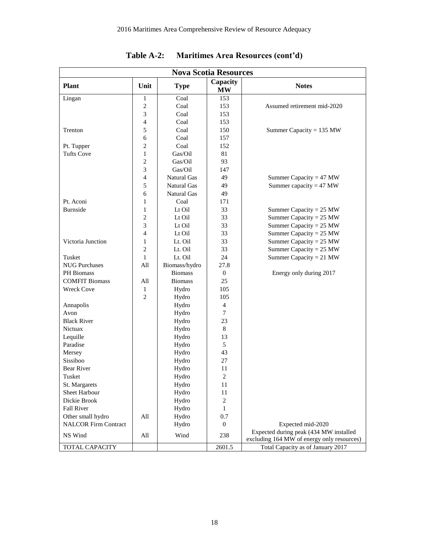|                             | <b>Nova Scotia Resources</b> |                    |                |                                                                                      |  |  |  |  |
|-----------------------------|------------------------------|--------------------|----------------|--------------------------------------------------------------------------------------|--|--|--|--|
| <b>Plant</b>                | Unit                         | <b>Type</b>        | Capacity<br>MW | <b>Notes</b>                                                                         |  |  |  |  |
| Lingan                      | 1                            | Coal               | 153            |                                                                                      |  |  |  |  |
|                             | 2                            | Coal               | 153            | Assumed retirement mid-2020                                                          |  |  |  |  |
|                             | 3                            | Coal               | 153            |                                                                                      |  |  |  |  |
|                             | $\overline{\mathcal{L}}$     | Coal               | 153            |                                                                                      |  |  |  |  |
| Trenton                     | 5                            | Coal               | 150            | Summer Capacity = $135$ MW                                                           |  |  |  |  |
|                             | 6                            | Coal               | 157            |                                                                                      |  |  |  |  |
| Pt. Tupper                  | $\overline{c}$               | Coal               | 152            |                                                                                      |  |  |  |  |
| <b>Tufts Cove</b>           | $\mathbf{1}$                 | Gas/Oil            | 81             |                                                                                      |  |  |  |  |
|                             | $\overline{c}$               | Gas/Oil            | 93             |                                                                                      |  |  |  |  |
|                             | 3                            | Gas/Oil            | 147            |                                                                                      |  |  |  |  |
|                             | $\overline{4}$               | <b>Natural Gas</b> | 49             | Summer Capacity = $47$ MW                                                            |  |  |  |  |
|                             | 5                            | <b>Natural Gas</b> | 49             | Summer capacity = $47$ MW                                                            |  |  |  |  |
|                             | 6                            | <b>Natural Gas</b> | 49             |                                                                                      |  |  |  |  |
| Pt. Aconi                   | 1                            | Coal               | 171            |                                                                                      |  |  |  |  |
| <b>Burnside</b>             | $\mathbf{1}$                 | Lt Oil             | 33             | Summer Capacity = $25$ MW                                                            |  |  |  |  |
|                             | 2                            | Lt Oil             | 33             | Summer Capacity = $25$ MW                                                            |  |  |  |  |
|                             | 3                            | Lt Oil             | 33             | Summer Capacity = $25$ MW                                                            |  |  |  |  |
|                             | $\overline{\mathcal{L}}$     | Lt Oil             | 33             | Summer Capacity = $25$ MW                                                            |  |  |  |  |
| Victoria Junction           | 1                            | Lt. Oil            | 33             | Summer Capacity = $25$ MW                                                            |  |  |  |  |
|                             | $\overline{c}$               | Lt. Oil            | 33             | Summer Capacity = $25$ MW                                                            |  |  |  |  |
| Tusket                      | 1                            | Lt. Oil            | 24             | Summer Capacity = $21$ MW                                                            |  |  |  |  |
| <b>NUG Purchases</b>        | All                          | Biomass/hydro      | 27.8           |                                                                                      |  |  |  |  |
| PH Biomass                  |                              | <b>Biomass</b>     | $\overline{0}$ | Energy only during 2017                                                              |  |  |  |  |
| <b>COMFIT Biomass</b>       | All                          | <b>Biomass</b>     | 25             |                                                                                      |  |  |  |  |
| <b>Wreck Cove</b>           | $\mathbf{1}$                 | Hydro              | 105            |                                                                                      |  |  |  |  |
|                             | $\overline{c}$               | Hydro              | 105            |                                                                                      |  |  |  |  |
| Annapolis                   |                              | Hydro              | $\overline{4}$ |                                                                                      |  |  |  |  |
| Avon                        |                              | Hydro              | 7              |                                                                                      |  |  |  |  |
| <b>Black River</b>          |                              | Hydro              | 23             |                                                                                      |  |  |  |  |
| Nictuax                     |                              | Hydro              | 8              |                                                                                      |  |  |  |  |
| Lequille                    |                              | Hydro              | 13             |                                                                                      |  |  |  |  |
| Paradise                    |                              | Hydro              | 5              |                                                                                      |  |  |  |  |
| Mersey                      |                              | Hydro              | 43             |                                                                                      |  |  |  |  |
| Sissiboo                    |                              | Hydro              | 27             |                                                                                      |  |  |  |  |
| <b>Bear River</b>           |                              | Hydro              | 11             |                                                                                      |  |  |  |  |
| Tusket                      |                              | Hydro              | $\overline{c}$ |                                                                                      |  |  |  |  |
| St. Margarets               |                              | Hydro              | 11             |                                                                                      |  |  |  |  |
| Sheet Harbour               |                              | Hydro              | 11             |                                                                                      |  |  |  |  |
| Dickie Brook                |                              | Hydro              | 2              |                                                                                      |  |  |  |  |
| Fall River                  |                              | Hydro              | 1              |                                                                                      |  |  |  |  |
| Other small hydro           | All                          | Hydro              | 0.7            |                                                                                      |  |  |  |  |
| <b>NALCOR Firm Contract</b> |                              | Hydro              | $\mathbf{0}$   | Expected mid-2020                                                                    |  |  |  |  |
| NS Wind                     | All                          | Wind               | 238            | Expected during peak (434 MW installed<br>excluding 164 MW of energy only resources) |  |  |  |  |
| TOTAL CAPACITY              |                              |                    | 2601.5         | Total Capacity as of January 2017                                                    |  |  |  |  |

**Table A-2: Maritimes Area Resources (cont'd)**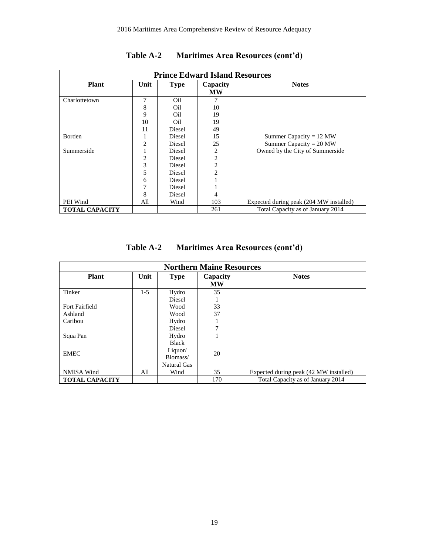| <b>Prince Edward Island Resources</b> |                |             |                       |                                         |  |  |  |  |
|---------------------------------------|----------------|-------------|-----------------------|-----------------------------------------|--|--|--|--|
| <b>Plant</b>                          | Unit           | <b>Type</b> | Capacity<br><b>MW</b> | <b>Notes</b>                            |  |  |  |  |
| Charlottetown                         | 7              | Oil         | 7                     |                                         |  |  |  |  |
|                                       | 8              | Oil         | 10                    |                                         |  |  |  |  |
|                                       | 9              | Oil         | 19                    |                                         |  |  |  |  |
|                                       | 10             | Oil         | 19                    |                                         |  |  |  |  |
|                                       | 11             | Diesel      | 49                    |                                         |  |  |  |  |
| Borden                                |                | Diesel      | 15                    | Summer Capacity = $12$ MW               |  |  |  |  |
|                                       | 2              | Diesel      | 25                    | Summer Capacity = $20$ MW               |  |  |  |  |
| Summerside                            |                | Diesel      | $\overline{2}$        | Owned by the City of Summerside         |  |  |  |  |
|                                       | $\overline{c}$ | Diesel      | $\overline{c}$        |                                         |  |  |  |  |
|                                       | 3              | Diesel      | $\overline{2}$        |                                         |  |  |  |  |
|                                       | 5              | Diesel      | $\overline{c}$        |                                         |  |  |  |  |
|                                       | 6              | Diesel      |                       |                                         |  |  |  |  |
|                                       | 7              | Diesel      |                       |                                         |  |  |  |  |
|                                       | 8              | Diesel      | 4                     |                                         |  |  |  |  |
| PEI Wind                              | All            | Wind        | 103                   | Expected during peak (204 MW installed) |  |  |  |  |
| <b>TOTAL CAPACITY</b>                 |                |             | 261                   | Total Capacity as of January 2014       |  |  |  |  |

| Table A-2 | <b>Maritimes Area Resources (cont'd)</b> |  |  |
|-----------|------------------------------------------|--|--|
|-----------|------------------------------------------|--|--|

| <b>Northern Maine Resources</b> |       |              |           |                                        |  |  |  |
|---------------------------------|-------|--------------|-----------|----------------------------------------|--|--|--|
| <b>Plant</b>                    | Unit  | <b>Type</b>  | Capacity  | <b>Notes</b>                           |  |  |  |
|                                 |       |              | <b>MW</b> |                                        |  |  |  |
| Tinker                          | $1-5$ | Hydro        | 35        |                                        |  |  |  |
|                                 |       | Diesel       |           |                                        |  |  |  |
| Fort Fairfield                  |       | Wood         | 33        |                                        |  |  |  |
| Ashland                         |       | Wood         | 37        |                                        |  |  |  |
| Caribou                         |       | Hydro        |           |                                        |  |  |  |
|                                 |       | Diesel       | 7         |                                        |  |  |  |
| Squa Pan                        |       | Hydro        |           |                                        |  |  |  |
|                                 |       | <b>Black</b> |           |                                        |  |  |  |
| <b>EMEC</b>                     |       | Liquor/      | 20        |                                        |  |  |  |
|                                 |       | Biomass/     |           |                                        |  |  |  |
|                                 |       | Natural Gas  |           |                                        |  |  |  |
| <b>NMISA Wind</b>               | All   | Wind         | 35        | Expected during peak (42 MW installed) |  |  |  |
| <b>TOTAL CAPACITY</b>           |       |              | 170       | Total Capacity as of January 2014      |  |  |  |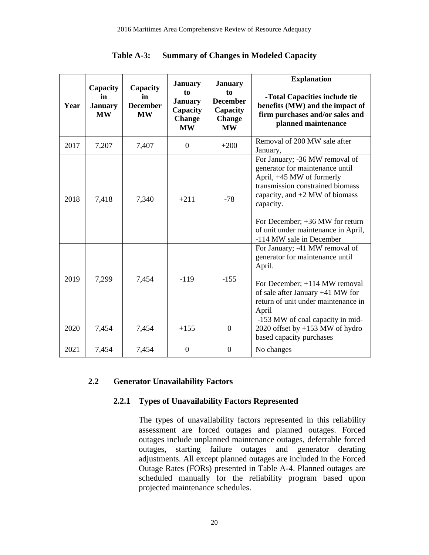| Year | Capacity<br>in<br><b>January</b><br><b>MW</b> | Capacity<br>in<br><b>December</b><br><b>MW</b> | <b>January</b><br>to<br><b>January</b><br>Capacity<br><b>Change</b><br><b>MW</b> | <b>January</b><br>to<br><b>December</b><br>Capacity<br><b>Change</b><br><b>MW</b> | <b>Explanation</b><br>-Total Capacities include tie<br>benefits (MW) and the impact of<br>firm purchases and/or sales and<br>planned maintenance                                                                                                                                          |
|------|-----------------------------------------------|------------------------------------------------|----------------------------------------------------------------------------------|-----------------------------------------------------------------------------------|-------------------------------------------------------------------------------------------------------------------------------------------------------------------------------------------------------------------------------------------------------------------------------------------|
| 2017 | 7,207                                         | 7,407                                          | $\theta$                                                                         | $+200$                                                                            | Removal of 200 MW sale after<br>January,                                                                                                                                                                                                                                                  |
| 2018 | 7,418                                         | 7,340                                          | $+211$                                                                           | $-78$                                                                             | For January; -36 MW removal of<br>generator for maintenance until<br>April, +45 MW of formerly<br>transmission constrained biomass<br>capacity, and $+2$ MW of biomass<br>capacity.<br>For December; +36 MW for return<br>of unit under maintenance in April,<br>-114 MW sale in December |
| 2019 | 7,299                                         | 7,454                                          | $-119$                                                                           | $-155$                                                                            | For January; -41 MW removal of<br>generator for maintenance until<br>April.<br>For December; +114 MW removal<br>of sale after January +41 MW for<br>return of unit under maintenance in<br>April                                                                                          |
| 2020 | 7,454                                         | 7,454                                          | $+155$                                                                           | $\overline{0}$                                                                    | -153 MW of coal capacity in mid-<br>2020 offset by $+153$ MW of hydro<br>based capacity purchases                                                                                                                                                                                         |
| 2021 | 7,454                                         | 7,454                                          | $\boldsymbol{0}$                                                                 | $\boldsymbol{0}$                                                                  | No changes                                                                                                                                                                                                                                                                                |

**Table A-3: Summary of Changes in Modeled Capacity**

## **2.2 Generator Unavailability Factors**

## **2.2.1 Types of Unavailability Factors Represented**

The types of unavailability factors represented in this reliability assessment are forced outages and planned outages. Forced outages include unplanned maintenance outages, deferrable forced outages, starting failure outages and generator derating adjustments. All except planned outages are included in the Forced Outage Rates (FORs) presented in Table A-4. Planned outages are scheduled manually for the reliability program based upon projected maintenance schedules.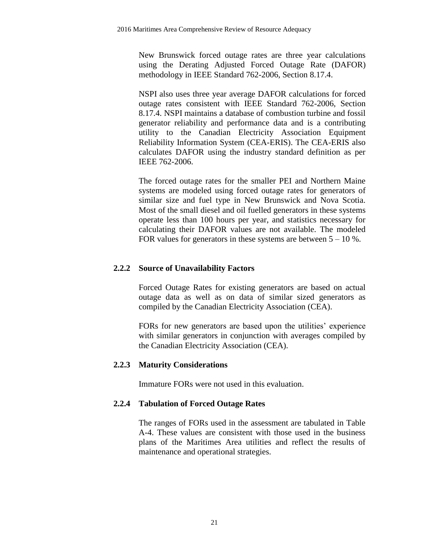New Brunswick forced outage rates are three year calculations using the Derating Adjusted Forced Outage Rate (DAFOR) methodology in IEEE Standard 762-2006, Section 8.17.4.

NSPI also uses three year average DAFOR calculations for forced outage rates consistent with IEEE Standard 762-2006, Section 8.17.4. NSPI maintains a database of combustion turbine and fossil generator reliability and performance data and is a contributing utility to the Canadian Electricity Association Equipment Reliability Information System (CEA-ERIS). The CEA-ERIS also calculates DAFOR using the industry standard definition as per IEEE 762-2006.

The forced outage rates for the smaller PEI and Northern Maine systems are modeled using forced outage rates for generators of similar size and fuel type in New Brunswick and Nova Scotia. Most of the small diesel and oil fuelled generators in these systems operate less than 100 hours per year, and statistics necessary for calculating their DAFOR values are not available. The modeled FOR values for generators in these systems are between  $5 - 10$  %.

## **2.2.2 Source of Unavailability Factors**

Forced Outage Rates for existing generators are based on actual outage data as well as on data of similar sized generators as compiled by the Canadian Electricity Association (CEA).

FORs for new generators are based upon the utilities' experience with similar generators in conjunction with averages compiled by the Canadian Electricity Association (CEA).

## **2.2.3 Maturity Considerations**

Immature FORs were not used in this evaluation.

## **2.2.4 Tabulation of Forced Outage Rates**

The ranges of FORs used in the assessment are tabulated in Table A-4. These values are consistent with those used in the business plans of the Maritimes Area utilities and reflect the results of maintenance and operational strategies.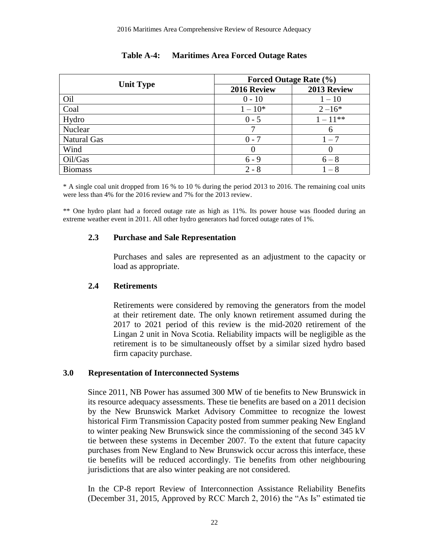| <b>Unit Type</b>   | Forced Outage Rate (%) |             |
|--------------------|------------------------|-------------|
|                    | 2016 Review            | 2013 Review |
| Oil                | $0 - 10$               | $1 - 10$    |
| Coal               | $1 - 10*$              | $2 - 16*$   |
| Hydro              | $0 - 5$                | $1 - 11**$  |
| Nuclear            | 7                      | h           |
| <b>Natural Gas</b> | $0 - 7$                | $1-7$       |
| Wind               | $\left( \right)$       |             |
| Oil/Gas            | $6 - 9$                | $6 - 8$     |
| <b>Biomass</b>     | $2 - 8$                |             |

## **Table A-4: Maritimes Area Forced Outage Rates**

\* A single coal unit dropped from 16 % to 10 % during the period 2013 to 2016. The remaining coal units were less than 4% for the 2016 review and 7% for the 2013 review.

\*\* One hydro plant had a forced outage rate as high as 11%. Its power house was flooded during an extreme weather event in 2011. All other hydro generators had forced outage rates of 1%.

## **2.3 Purchase and Sale Representation**

Purchases and sales are represented as an adjustment to the capacity or load as appropriate.

## **2.4 Retirements**

Retirements were considered by removing the generators from the model at their retirement date. The only known retirement assumed during the 2017 to 2021 period of this review is the mid-2020 retirement of the Lingan 2 unit in Nova Scotia. Reliability impacts will be negligible as the retirement is to be simultaneously offset by a similar sized hydro based firm capacity purchase.

## **3.0 Representation of Interconnected Systems**

Since 2011, NB Power has assumed 300 MW of tie benefits to New Brunswick in its resource adequacy assessments. These tie benefits are based on a 2011 decision by the New Brunswick Market Advisory Committee to recognize the lowest historical Firm Transmission Capacity posted from summer peaking New England to winter peaking New Brunswick since the commissioning of the second 345 kV tie between these systems in December 2007. To the extent that future capacity purchases from New England to New Brunswick occur across this interface, these tie benefits will be reduced accordingly. Tie benefits from other neighbouring jurisdictions that are also winter peaking are not considered.

In the CP-8 report Review of Interconnection Assistance Reliability Benefits (December 31, 2015, Approved by RCC March 2, 2016) the "As Is" estimated tie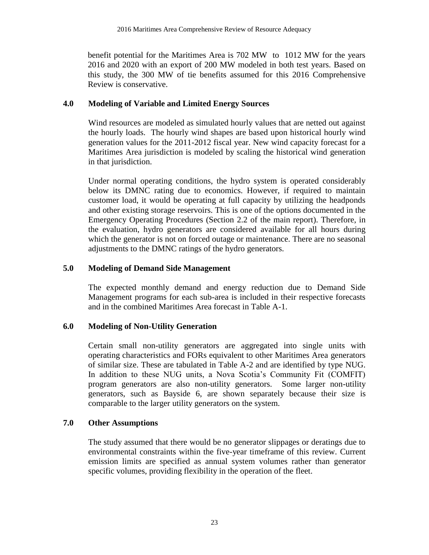benefit potential for the Maritimes Area is 702 MW to 1012 MW for the years 2016 and 2020 with an export of 200 MW modeled in both test years. Based on this study, the 300 MW of tie benefits assumed for this 2016 Comprehensive Review is conservative.

### **4.0 Modeling of Variable and Limited Energy Sources**

Wind resources are modeled as simulated hourly values that are netted out against the hourly loads. The hourly wind shapes are based upon historical hourly wind generation values for the 2011-2012 fiscal year. New wind capacity forecast for a Maritimes Area jurisdiction is modeled by scaling the historical wind generation in that jurisdiction.

Under normal operating conditions, the hydro system is operated considerably below its DMNC rating due to economics. However, if required to maintain customer load, it would be operating at full capacity by utilizing the headponds and other existing storage reservoirs. This is one of the options documented in the Emergency Operating Procedures (Section 2.2 of the main report). Therefore, in the evaluation, hydro generators are considered available for all hours during which the generator is not on forced outage or maintenance. There are no seasonal adjustments to the DMNC ratings of the hydro generators.

#### **5.0 Modeling of Demand Side Management**

The expected monthly demand and energy reduction due to Demand Side Management programs for each sub-area is included in their respective forecasts and in the combined Maritimes Area forecast in Table A-1.

## **6.0 Modeling of Non-Utility Generation**

Certain small non-utility generators are aggregated into single units with operating characteristics and FORs equivalent to other Maritimes Area generators of similar size. These are tabulated in Table A-2 and are identified by type NUG. In addition to these NUG units, a Nova Scotia's Community Fit (COMFIT) program generators are also non-utility generators. Some larger non-utility generators, such as Bayside 6, are shown separately because their size is comparable to the larger utility generators on the system.

#### **7.0 Other Assumptions**

The study assumed that there would be no generator slippages or deratings due to environmental constraints within the five-year timeframe of this review. Current emission limits are specified as annual system volumes rather than generator specific volumes, providing flexibility in the operation of the fleet.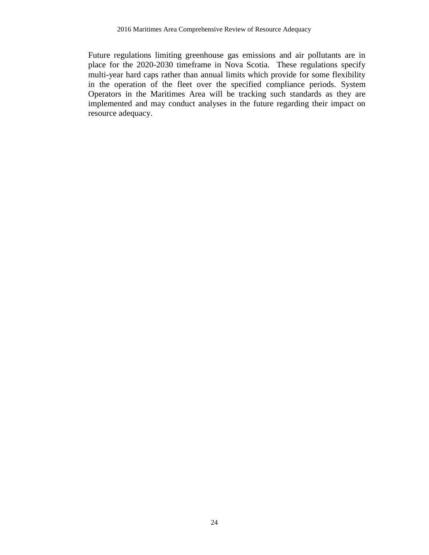Future regulations limiting greenhouse gas emissions and air pollutants are in place for the 2020-2030 timeframe in Nova Scotia. These regulations specify multi-year hard caps rather than annual limits which provide for some flexibility in the operation of the fleet over the specified compliance periods. System Operators in the Maritimes Area will be tracking such standards as they are implemented and may conduct analyses in the future regarding their impact on resource adequacy.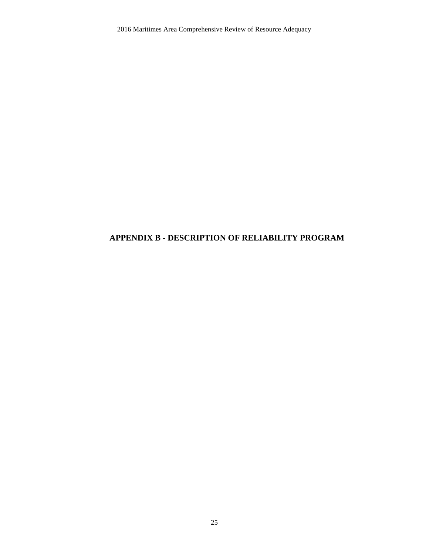## **APPENDIX B - DESCRIPTION OF RELIABILITY PROGRAM**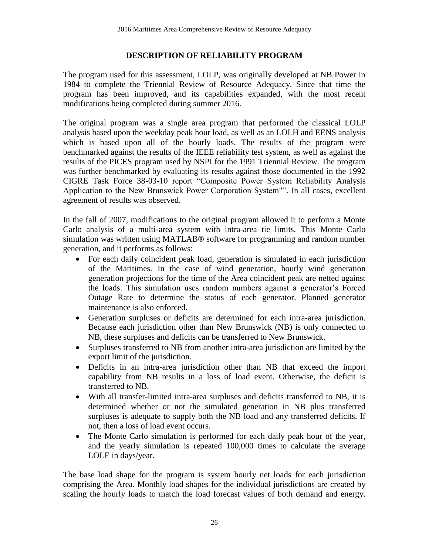### **DESCRIPTION OF RELIABILITY PROGRAM**

The program used for this assessment, LOLP, was originally developed at NB Power in 1984 to complete the Triennial Review of Resource Adequacy. Since that time the program has been improved, and its capabilities expanded, with the most recent modifications being completed during summer 2016.

The original program was a single area program that performed the classical LOLP analysis based upon the weekday peak hour load, as well as an LOLH and EENS analysis which is based upon all of the hourly loads. The results of the program were benchmarked against the results of the IEEE reliability test system, as well as against the results of the PICES program used by NSPI for the 1991 Triennial Review. The program was further benchmarked by evaluating its results against those documented in the 1992 CIGRE Task Force 38-03-10 report "Composite Power System Reliability Analysis Application to the New Brunswick Power Corporation System"". In all cases, excellent agreement of results was observed.

In the fall of 2007, modifications to the original program allowed it to perform a Monte Carlo analysis of a multi-area system with intra-area tie limits. This Monte Carlo simulation was written using MATLAB® software for programming and random number generation, and it performs as follows:

- For each daily coincident peak load, generation is simulated in each jurisdiction of the Maritimes. In the case of wind generation, hourly wind generation generation projections for the time of the Area coincident peak are netted against the loads. This simulation uses random numbers against a generator's Forced Outage Rate to determine the status of each generator. Planned generator maintenance is also enforced.
- Generation surpluses or deficits are determined for each intra-area jurisdiction. Because each jurisdiction other than New Brunswick (NB) is only connected to NB, these surpluses and deficits can be transferred to New Brunswick.
- Surpluses transferred to NB from another intra-area jurisdiction are limited by the export limit of the jurisdiction.
- Deficits in an intra-area jurisdiction other than NB that exceed the import capability from NB results in a loss of load event. Otherwise, the deficit is transferred to NB.
- With all transfer-limited intra-area surpluses and deficits transferred to NB, it is determined whether or not the simulated generation in NB plus transferred surpluses is adequate to supply both the NB load and any transferred deficits. If not, then a loss of load event occurs.
- The Monte Carlo simulation is performed for each daily peak hour of the year, and the yearly simulation is repeated 100,000 times to calculate the average LOLE in days/year.

The base load shape for the program is system hourly net loads for each jurisdiction comprising the Area. Monthly load shapes for the individual jurisdictions are created by scaling the hourly loads to match the load forecast values of both demand and energy.